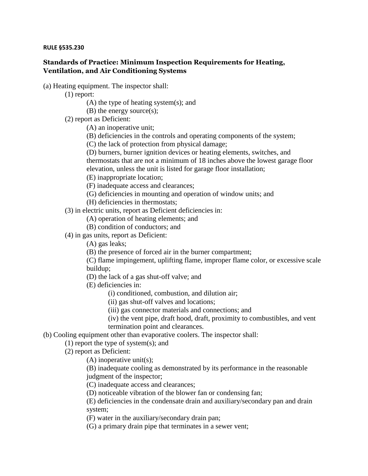## **RULE §535.230**

## **Standards of Practice: Minimum Inspection Requirements for Heating, Ventilation, and Air Conditioning Systems**

(a) Heating equipment. The inspector shall:

(1) report:

(A) the type of heating system(s); and

(B) the energy source(s);

(2) report as Deficient:

(A) an inoperative unit;

(B) deficiencies in the controls and operating components of the system;

(C) the lack of protection from physical damage;

(D) burners, burner ignition devices or heating elements, switches, and thermostats that are not a minimum of 18 inches above the lowest garage floor elevation, unless the unit is listed for garage floor installation;

(E) inappropriate location;

(F) inadequate access and clearances;

(G) deficiencies in mounting and operation of window units; and

(H) deficiencies in thermostats;

(3) in electric units, report as Deficient deficiencies in:

(A) operation of heating elements; and

(B) condition of conductors; and

(4) in gas units, report as Deficient:

(A) gas leaks;

(B) the presence of forced air in the burner compartment;

(C) flame impingement, uplifting flame, improper flame color, or excessive scale buildup;

(D) the lack of a gas shut-off valve; and

(E) deficiencies in:

(i) conditioned, combustion, and dilution air;

(ii) gas shut-off valves and locations;

(iii) gas connector materials and connections; and

(iv) the vent pipe, draft hood, draft, proximity to combustibles, and vent

termination point and clearances.

(b) Cooling equipment other than evaporative coolers. The inspector shall:

(1) report the type of system(s); and

(2) report as Deficient:

(A) inoperative unit(s);

(B) inadequate cooling as demonstrated by its performance in the reasonable judgment of the inspector;

(C) inadequate access and clearances;

(D) noticeable vibration of the blower fan or condensing fan;

(E) deficiencies in the condensate drain and auxiliary/secondary pan and drain system;

(F) water in the auxiliary/secondary drain pan;

(G) a primary drain pipe that terminates in a sewer vent;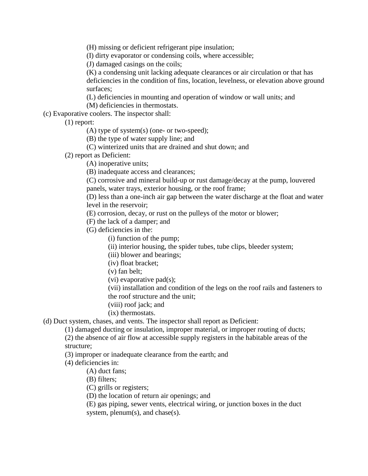(H) missing or deficient refrigerant pipe insulation;

(I) dirty evaporator or condensing coils, where accessible;

(J) damaged casings on the coils;

(K) a condensing unit lacking adequate clearances or air circulation or that has deficiencies in the condition of fins, location, levelness, or elevation above ground surfaces;

(L) deficiencies in mounting and operation of window or wall units; and

(M) deficiencies in thermostats.

(c) Evaporative coolers. The inspector shall:

(1) report:

(A) type of system(s) (one- or two-speed);

(B) the type of water supply line; and

(C) winterized units that are drained and shut down; and

(2) report as Deficient:

(A) inoperative units;

(B) inadequate access and clearances;

(C) corrosive and mineral build-up or rust damage/decay at the pump, louvered panels, water trays, exterior housing, or the roof frame;

(D) less than a one-inch air gap between the water discharge at the float and water level in the reservoir;

(E) corrosion, decay, or rust on the pulleys of the motor or blower;

(F) the lack of a damper; and

(G) deficiencies in the:

(i) function of the pump;

(ii) interior housing, the spider tubes, tube clips, bleeder system;

(iii) blower and bearings;

(iv) float bracket;

(v) fan belt;

(vi) evaporative pad(s);

(vii) installation and condition of the legs on the roof rails and fasteners to the roof structure and the unit;

(viii) roof jack; and

(ix) thermostats.

(d) Duct system, chases, and vents. The inspector shall report as Deficient:

(1) damaged ducting or insulation, improper material, or improper routing of ducts;

(2) the absence of air flow at accessible supply registers in the habitable areas of the structure;

(3) improper or inadequate clearance from the earth; and

(4) deficiencies in:

(A) duct fans;

(B) filters;

(C) grills or registers;

(D) the location of return air openings; and

(E) gas piping, sewer vents, electrical wiring, or junction boxes in the duct system, plenum(s), and chase(s).